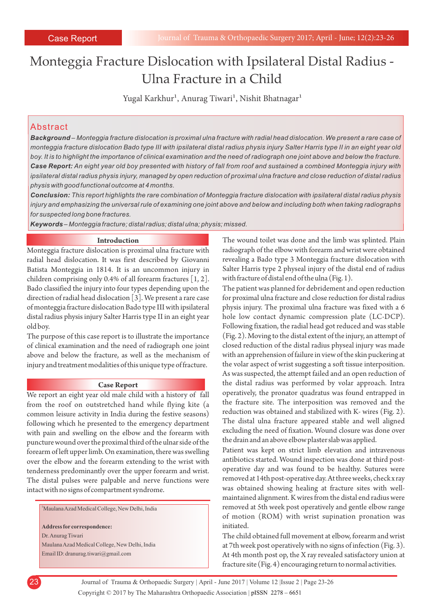# Monteggia Fracture Dislocation with Ipsilateral Distal Radius - Ulna Fracture in a Child

Yugal Karkhur<sup>1</sup>, Anurag Tiwari<sup>1</sup>, Nishit Bhatnagar<sup>1</sup>

### Abstract

*Background – Monteggia fracture dislocation is proximal ulna fracture with radial head dislocation. We present a rare case of monteggia fracture dislocation Bado type III with ipsilateral distal radius physis injury Salter Harris type II in an eight year old boy. It is to highlight the importance of clinical examination and the need of radiograph one joint above and below the fracture. Case Report: An eight year old boy presented with history of fall from roof and sustained a combined Monteggia injury with ipsilateral distal radius physis injury, managed by open reduction of proximal ulna fracture and close reduction of distal radius physis with good functional outcome at 4 months.* 

*Conclusion: This report highlights the rare combination of Monteggia fracture dislocation with ipsilateral distal radius physis injury and emphasizing the universal rule of examining one joint above and below and including both when taking radiographs for suspected long bone fractures.*

*Keywords – Monteggia fracture; distal radius; distal ulna; physis; missed.*

#### **Introduction**

Monteggia fracture dislocation is proximal ulna fracture with radial head dislocation. It was first described by Giovanni Batista Monteggia in 1814. It is an uncommon injury in children comprising only 0.4% of all forearm fractures [1, 2]. Bado classified the injury into four types depending upon the direction of radial head dislocation [3]. We present a rare case of monteggia fracture dislocation Bado type III with ipsilateral distal radius physis injury Salter Harris type II in an eight year old boy.

The purpose of this case report is to illustrate the importance of clinical examination and the need of radiograph one joint above and below the fracture, as well as the mechanism of injury and treatment modalities of this unique type of fracture.

#### **Case Report**

We report an eight year old male child with a history of fall from the roof on outstretched hand while flying kite (a common leisure activity in India during the festive seasons) following which he presented to the emergency department with pain and swelling on the elbow and the forearm with puncture wound over the proximal third of the ulnar side of the forearm of left upper limb. On examination, there was swelling over the elbow and the forearm extending to the wrist with tenderness predominantly over the upper forearm and wrist. The distal pulses were palpable and nerve functions were intact with no signs of compartment syndrome.

<sup>1</sup>Maulana Azad Medical College, New Delhi, India

**Address for correspondence:**  Dr. Anurag Tiwari Maulana Azad Medical College, New Delhi, India Email ID: dranurag.tiwari@gmail.com

The wound toilet was done and the limb was splinted. Plain radiograph of the elbow with forearm and wrist were obtained revealing a Bado type 3 Monteggia fracture dislocation with Salter Harris type 2 physeal injury of the distal end of radius with fracture of distal end of the ulna (Fig. 1).

The patient was planned for debridement and open reduction for proximal ulna fracture and close reduction for distal radius physis injury. The proximal ulna fracture was fixed with a 6 hole low contact dynamic compression plate (LC-DCP). Following fixation, the radial head got reduced and was stable (Fig. 2). Moving to the distal extent of the injury, an attempt of closed reduction of the distal radius physeal injury was made with an apprehension of failure in view of the skin puckering at the volar aspect of wrist suggesting a soft tissue interposition. As was suspected, the attempt failed and an open reduction of the distal radius was performed by volar approach. Intra operatively, the pronator quadratus was found entrapped in the fracture site. The interposition was removed and the reduction was obtained and stabilized with K- wires (Fig. 2). The distal ulna fracture appeared stable and well aligned excluding the need of fixation. Wound closure was done over the drain and an above elbow plaster slab was applied.

Patient was kept on strict limb elevation and intravenous antibiotics started. Wound inspection was done at third postoperative day and was found to be healthy. Sutures were removed at 14th post-operative day. At three weeks, check x ray was obtained showing healing at fracture sites with wellmaintained alignment. K wires from the distal end radius were removed at 5th week post operatively and gentle elbow range of motion (ROM) with wrist supination pronation was initiated.

The child obtained full movement at elbow, forearm and wrist at 7th week post operatively with no signs of infection (Fig. 3). At 4th month post op, the X ray revealed satisfactory union at fracture site (Fig. 4) encouraging return to normal activities.



Copyright © 2017 by The Maharashtra Orthopaedic Association | 23 Journal of Trauma & Orthopaedic Surgery | April - June 2017 | Volume 12 | Issue 2 | Page 23-26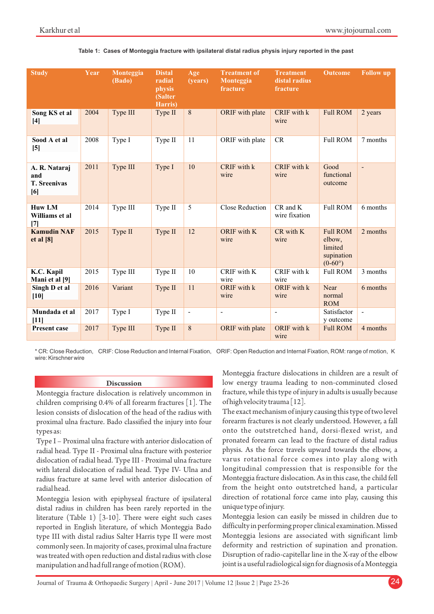| <b>Study</b>                                       | Year | Monteggia<br>(Bado) | <b>Distal</b><br>radial<br>physis<br>(Salter<br>Harris) | Age<br>(years)           | <b>Treatment of</b><br>Monteggia<br>fracture | <b>Treatment</b><br>distal radius<br>fracture | <b>Outcome</b>                                                         | <b>Follow up</b>         |
|----------------------------------------------------|------|---------------------|---------------------------------------------------------|--------------------------|----------------------------------------------|-----------------------------------------------|------------------------------------------------------------------------|--------------------------|
| Song KS et al<br>$[4]$                             | 2004 | Type III            | Type II                                                 | 8                        | ORIF with plate                              | CRIF with k<br>wire                           | <b>Full ROM</b>                                                        | 2 years                  |
| Sood A et al<br>$[5]$                              | 2008 | Type I              | Type II                                                 | 11                       | ORIF with plate                              | CR                                            | <b>Full ROM</b>                                                        | 7 months                 |
| A. R. Nataraj<br>and<br><b>T. Sreenivas</b><br>[6] | 2011 | Type III            | Type I                                                  | 10                       | CRIF with k<br>wire                          | CRIF with k<br>wire                           | Good<br>functional<br>outcome                                          | $\overline{\phantom{a}}$ |
| <b>Huw LM</b><br>Williams et al<br>[7]             | 2014 | Type III            | Type II                                                 | 5                        | Close Reduction                              | $CR$ and $K$<br>wire fixation                 | <b>Full ROM</b>                                                        | 6 months                 |
| <b>Kamudin NAF</b><br>et al [8]                    | 2015 | Type II             | Type II                                                 | 12                       | ORIF with K<br>wire                          | $CR$ with $K$<br>wire                         | <b>Full ROM</b><br>elbow.<br>limited<br>supination<br>$(0-60^{\circ})$ | 2 months                 |
| K.C. Kapil<br>Mani et al [9]                       | 2015 | Type III            | Type II                                                 | 10                       | CRIF with K<br>wire                          | CRIF with k<br>wire                           | <b>Full ROM</b>                                                        | 3 months                 |
| Singh D et al<br>$[10]$                            | 2016 | Variant             | Type II                                                 | 11                       | ORIF with k<br>wire                          | ORIF with k<br>wire                           | Near<br>normal<br><b>ROM</b>                                           | 6 months                 |
| Mundada et al<br>$[11]$                            | 2017 | Type I              | Type II                                                 | $\overline{\phantom{a}}$ | $\overline{\phantom{a}}$                     | $\blacksquare$                                | Satisfactor<br>y outcome                                               | $\overline{\phantom{a}}$ |
| <b>Present case</b>                                | 2017 | Type III            | Type II                                                 | 8                        | ORIF with plate                              | ORIF with k<br>wire                           | <b>Full ROM</b>                                                        | 4 months                 |

**Table 1: Cases of Monteggia fracture with ipsilateral distal radius physis injury reported in the past**

\* CR: Close Reduction, CRIF: Close Reduction and Internal Fixation, ORIF: Open Reduction and Internal Fixation, ROM: range of motion, K wire: Kirschner wire

#### **Discussion**

Monteggia fracture dislocation is relatively uncommon in children comprising 0.4% of all forearm fractures [1]. The lesion consists of dislocation of the head of the radius with proximal ulna fracture. Bado classified the injury into four types as:

Type I – Proximal ulna fracture with anterior dislocation of radial head. Type II - Proximal ulna fracture with posterior dislocation of radial head. Type III - Proximal ulna fracture with lateral dislocation of radial head. Type IV- Ulna and radius fracture at same level with anterior dislocation of radial head.

Monteggia lesion with epiphyseal fracture of ipsilateral distal radius in children has been rarely reported in the literature (Table 1) [3-10]. There were eight such cases reported in English literature, of which Monteggia Bado type III with distal radius Salter Harris type II were most commonly seen. In majority of cases, proximal ulna fracture was treated with open reduction and distal radius with close manipulation and had full range of motion (ROM).

Monteggia fracture dislocations in children are a result of low energy trauma leading to non-comminuted closed fracture, while this type of injury in adults is usually because of high velocity trauma [12].

The exact mechanism of injury causing this type of two level forearm fractures is not clearly understood. However, a fall onto the outstretched hand, dorsi-flexed wrist, and pronated forearm can lead to the fracture of distal radius physis. As the force travels upward towards the elbow, a varus rotational force comes into play along with longitudinal compression that is responsible for the Monteggia fracture dislocation. As in this case, the child fell from the height onto outstretched hand, a particular direction of rotational force came into play, causing this unique type of injury.

Monteggia lesion can easily be missed in children due to difficulty in performing proper clinical examination. Missed Monteggia lesions are associated with significant limb deformity and restriction of supination and pronation. Disruption of radio-capitellar line in the X-ray of the elbow joint is a useful radiological sign for diagnosis of a Monteggia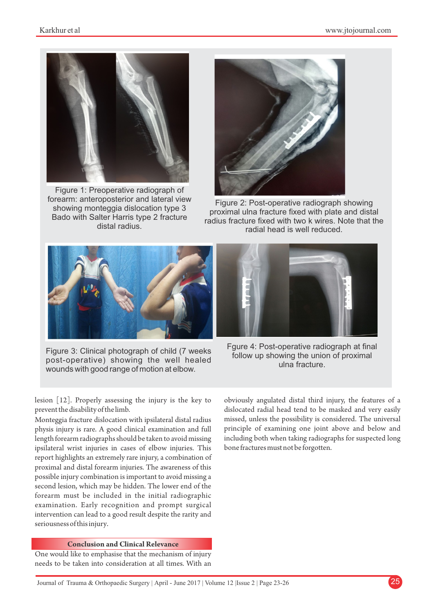

Figure 1: Preoperative radiograph of forearm: anteroposterior and lateral view showing monteggia dislocation type 3 Bado with Salter Harris type 2 fracture distal radius.



Figure 2: Post-operative radiograph showing proximal ulna fracture fixed with plate and distal radius fracture fixed with two k wires. Note that the radial head is well reduced.



Figure 3: Clinical photograph of child (7 weeks post-operative) showing the well healed wounds with good range of motion at elbow.



Fgure 4: Post-operative radiograph at final follow up showing the union of proximal ulna fracture.

lesion [12]. Properly assessing the injury is the key to prevent the disability of the limb.

Monteggia fracture dislocation with ipsilateral distal radius physis injury is rare. A good clinical examination and full length forearm radiographs should be taken to avoid missing ipsilateral wrist injuries in cases of elbow injuries. This report highlights an extremely rare injury, a combination of proximal and distal forearm injuries. The awareness of this possible injury combination is important to avoid missing a second lesion, which may be hidden. The lower end of the forearm must be included in the initial radiographic examination. Early recognition and prompt surgical intervention can lead to a good result despite the rarity and seriousness of this injury.

#### **Conclusion and Clinical Relevance**

One would like to emphasise that the mechanism of injury needs to be taken into consideration at all times. With an obviously angulated distal third injury, the features of a dislocated radial head tend to be masked and very easily missed, unless the possibility is considered. The universal principle of examining one joint above and below and including both when taking radiographs for suspected long bone fractures must not be forgotten.